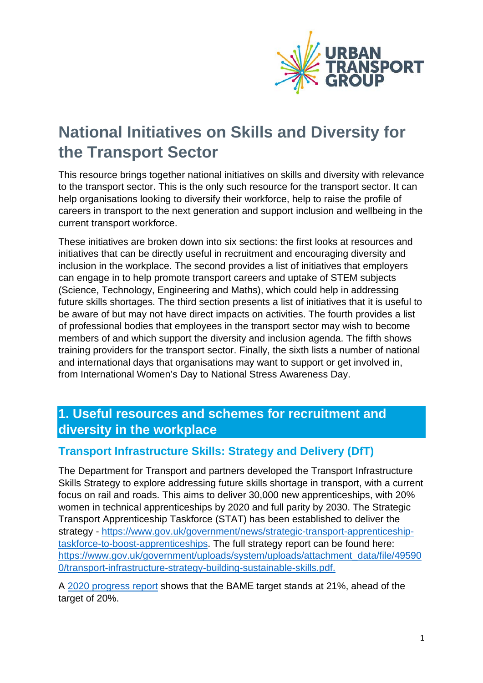

# **National Initiatives on Skills and Diversity for the Transport Sector**

This resource brings together national initiatives on skills and diversity with relevance to the transport sector. This is the only such resource for the transport sector. It can help organisations looking to diversify their workforce, help to raise the profile of careers in transport to the next generation and support inclusion and wellbeing in the current transport workforce.

These initiatives are broken down into six sections: the first looks at resources and initiatives that can be directly useful in recruitment and encouraging diversity and inclusion in the workplace. The second provides a list of initiatives that employers can engage in to help promote transport careers and uptake of STEM subjects (Science, Technology, Engineering and Maths), which could help in addressing future skills shortages. The third section presents a list of initiatives that it is useful to be aware of but may not have direct impacts on activities. The fourth provides a list of professional bodies that employees in the transport sector may wish to become members of and which support the diversity and inclusion agenda. The fifth shows training providers for the transport sector. Finally, the sixth lists a number of national and international days that organisations may want to support or get involved in, from International Women's Day to National Stress Awareness Day.

# **1. Useful resources and schemes for recruitment and diversity in the workplace**

### **Transport Infrastructure Skills: Strategy and Delivery (DfT)**

The Department for Transport and partners developed the Transport Infrastructure Skills Strategy to explore addressing future skills shortage in transport, with a current focus on rail and roads. This aims to deliver 30,000 new apprenticeships, with 20% women in technical apprenticeships by 2020 and full parity by 2030. The Strategic Transport Apprenticeship Taskforce (STAT) has been established to deliver the strategy - [https://www.gov.uk/government/news/strategic-transport-apprenticeship](https://www.gov.uk/government/news/strategic-transport-apprenticeship-taskforce-to-boost-apprenticeships)[taskforce-to-boost-apprenticeships.](https://www.gov.uk/government/news/strategic-transport-apprenticeship-taskforce-to-boost-apprenticeships) The full strategy report can be found here: [https://www.gov.uk/government/uploads/system/uploads/attachment\\_data/file/49590](https://www.gov.uk/government/uploads/system/uploads/attachment_data/file/495900/transport-infrastructure-strategy-building-sustainable-skills.pdf) [0/transport-infrastructure-strategy-building-sustainable-skills.pdf.](https://www.gov.uk/government/uploads/system/uploads/attachment_data/file/495900/transport-infrastructure-strategy-building-sustainable-skills.pdf)

A [2020 progress report](https://assets.publishing.service.gov.uk/government/uploads/system/uploads/attachment_data/file/934395/DfT_Transport-Infrastructure-Skills-Strategy-four-years-of-progress-STAT-accessible.pdf) shows that the BAME target stands at 21%, ahead of the target of 20%.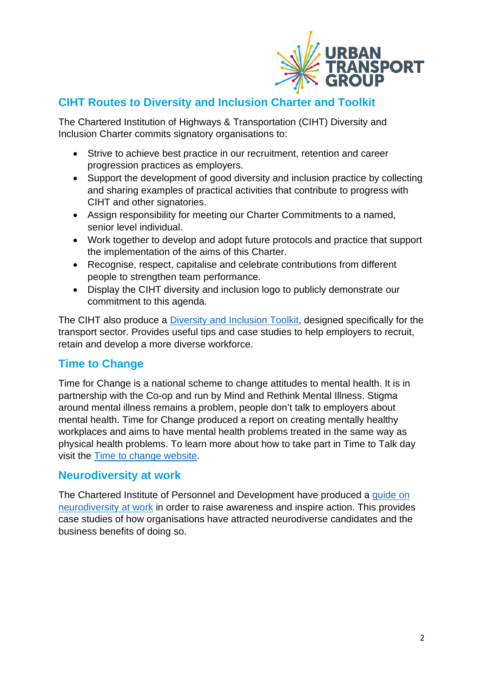

# **CIHT Routes to Diversity and Inclusion Charter and Toolkit**

The Chartered Institution of Highways & Transportation (CIHT) Diversity and Inclusion Charter commits signatory organisations to:

- Strive to achieve best practice in our recruitment, retention and career progression practices as employers.
- Support the development of good diversity and inclusion practice by collecting and sharing examples of practical activities that contribute to progress with CIHT and other signatories.
- Assign responsibility for meeting our Charter Commitments to a named, senior level individual.
- Work together to develop and adopt future protocols and practice that support the implementation of the aims of this Charter.
- Recognise, respect, capitalise and celebrate contributions from different people to strengthen team performance.
- Display the CIHT diversity and inclusion logo to publicly demonstrate our commitment to this agenda.

The CIHT also produce a *Diversity and Inclusion Toolkit*, designed specifically for the transport sector. Provides useful tips and case studies to help employers to recruit, retain and develop a more diverse workforce.

# **Time to Change**

Time for Change is a national scheme to change attitudes to mental health. It is in partnership with the Co-op and run by Mind and Rethink Mental Illness. Stigma around mental illness remains a problem, people don't talk to employers about mental health. Time for Change produced a report on creating mentally healthy workplaces and aims to have mental health problems treated in the same way as physical health problems. To learn more about how to take part in Time to Talk day visit the [Time to change website.](https://timetotalkday.co.uk/how-to-take-part/)

### **Neurodiversity at work**

The Chartered Institute of Personnel and Development have produced a [guide on](https://www.cipd.co.uk/Images/neurodiversity-at-work_2018_tcm18-37852.pdf)  [neurodiversity at work](https://www.cipd.co.uk/Images/neurodiversity-at-work_2018_tcm18-37852.pdf) in order to raise awareness and inspire action. This provides case studies of how organisations have attracted neurodiverse candidates and the business benefits of doing so.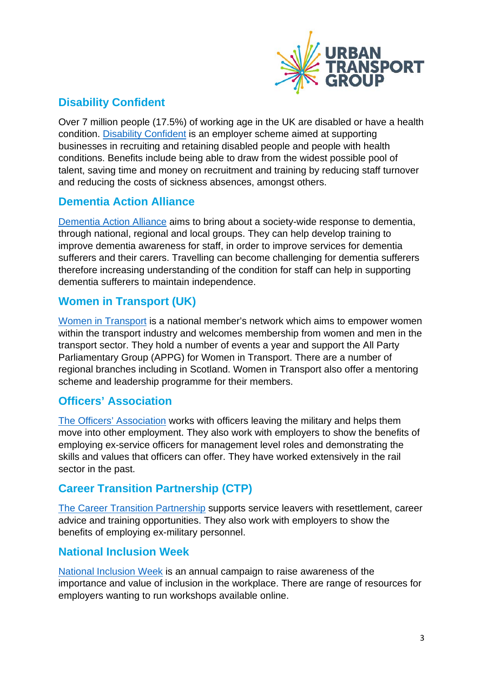

# **Disability Confident**

Over 7 million people (17.5%) of working age in the UK are disabled or have a health condition. [Disability Confident](https://www.gov.uk/government/collections/disability-confident-campaign) is an employer scheme aimed at supporting businesses in recruiting and retaining disabled people and people with health conditions. Benefits include being able to draw from the widest possible pool of talent, saving time and money on recruitment and training by reducing staff turnover and reducing the costs of sickness absences, amongst others.

### **Dementia Action Alliance**

[Dementia Action Alliance](http://www.dementiaaction.org.uk/) aims to bring about a society-wide response to dementia, through national, regional and local groups. They can help develop training to improve dementia awareness for staff, in order to improve services for dementia sufferers and their carers. Travelling can become challenging for dementia sufferers therefore increasing understanding of the condition for staff can help in supporting dementia sufferers to maintain independence.

# **Women in Transport (UK)**

[Women in Transport](https://www.womenintransport.com/) is a national member's network which aims to empower women within the transport industry and welcomes membership from women and men in the transport sector. They hold a number of events a year and support the All Party Parliamentary Group (APPG) for Women in Transport. There are a number of regional branches including in Scotland. Women in Transport also offer a mentoring scheme and leadership programme for their members.

# **Officers' Association**

[The Officers' Association](https://www.officersassociation.org.uk/) works with officers leaving the military and helps them move into other employment. They also work with employers to show the benefits of employing ex-service officers for management level roles and demonstrating the skills and values that officers can offer. They have worked extensively in the rail sector in the past.

# **Career Transition Partnership (CTP)**

[The Career Transition Partnership](https://www.ctp.org.uk/) supports service leavers with resettlement, career advice and training opportunities. They also work with employers to show the benefits of employing ex-military personnel.

# **National Inclusion Week**

[National Inclusion Week](https://www.inclusiveemployers.co.uk/niw-2022/) is an annual campaign to raise awareness of the importance and value of inclusion in the workplace. There are range of resources for employers wanting to run workshops available online.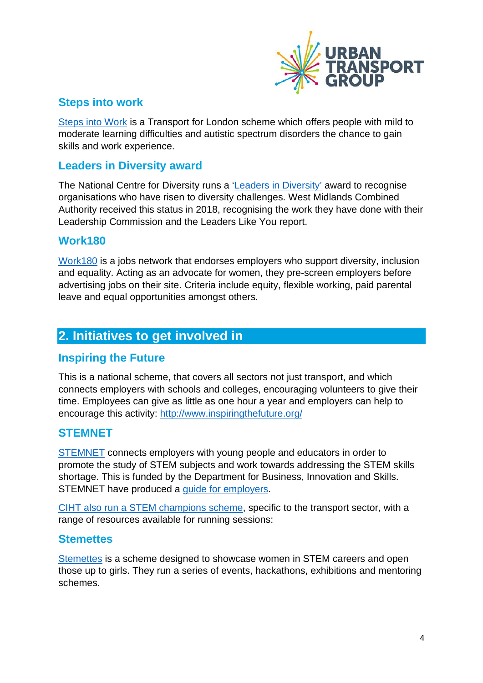

# **Steps into work**

[Steps into Work](https://tfl.gov.uk/corporate/careers/steps-into-work) is a Transport for London scheme which offers people with mild to moderate learning difficulties and autistic spectrum disorders the chance to gain skills and work experience.

### **Leaders in Diversity award**

The National Centre for Diversity runs a ['Leaders in Diversity'](https://www.nationalcentrefordiversity.com/west-midlands-combined-authority-is-a-leader-in-diversity/) award to recognise organisations who have risen to diversity challenges. West Midlands Combined Authority received this status in 2018, recognising the work they have done with their Leadership Commission and the Leaders Like You report.

#### **Work180**

[Work180](https://uk.work180.co/about-us) is a jobs network that endorses employers who support diversity, inclusion and equality. Acting as an advocate for women, they pre-screen employers before advertising jobs on their site. Criteria include equity, flexible working, paid parental leave and equal opportunities amongst others.

# **2. Initiatives to get involved in**

#### **Inspiring the Future**

This is a national scheme, that covers all sectors not just transport, and which connects employers with schools and colleges, encouraging volunteers to give their time. Employees can give as little as one hour a year and employers can help to encourage this activity:<http://www.inspiringthefuture.org/>

#### **STEMNET**

[STEMNET](http://www.stemnet.org.uk/) connects employers with young people and educators in order to promote the study of STEM subjects and work towards addressing the STEM skills shortage. This is funded by the Department for Business, Innovation and Skills. STEMNET have produced a [guide for employers.](https://www.stem.org.uk/commercial/employers-engaging-stem-ambassador-programme)

[CIHT also run a STEM champions](https://www.ciht.org.uk/professional-development/get-involved/ciht-champions/) scheme, specific to the transport sector, with a range of resources available for running sessions:

#### **Stemettes**

[Stemettes](https://stemettes.org/about-us/) is a scheme designed to showcase women in STEM careers and open those up to girls. They run a series of events, hackathons, exhibitions and mentoring schemes.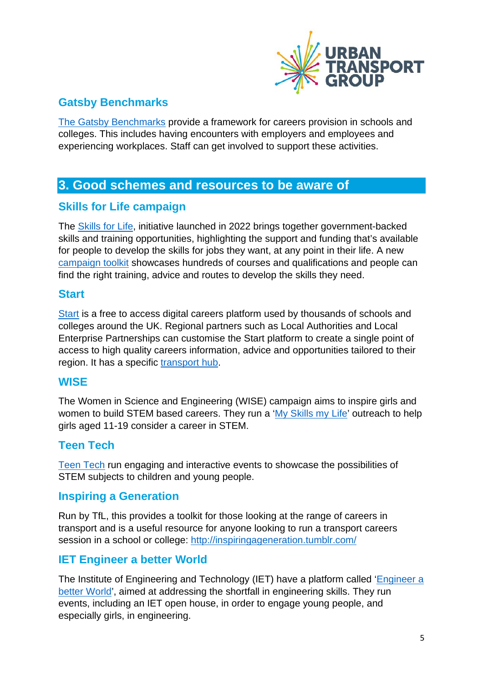

# **Gatsby Benchmarks**

[The Gatsby Benchmarks](https://www.careersandenterprise.co.uk/schools-colleges/understand-gatsby-benchmarks) provide a framework for careers provision in schools and colleges. This includes having encounters with employers and employees and experiencing workplaces. Staff can get involved to support these activities.

# **3. Good schemes and resources to be aware of**

### **Skills for Life campaign**

The [Skills for Life,](https://www.gov.uk/government/collections/unlock-your-potential-skills-for-life-campaign-toolkit) initiative launched in 2022 brings together government-backed skills and training opportunities, highlighting the support and funding that's available for people to develop the skills for jobs they want, at any point in their life. A new [campaign toolkit](https://skillsforlife.campaign.gov.uk/) showcases hundreds of courses and qualifications and people can find the right training, advice and routes to develop the skills they need.

#### **Start**

[Start](https://careers.startprofile.com/page/home-page) is a free to access digital careers platform used by thousands of schools and colleges around the UK. Regional partners such as Local Authorities and Local Enterprise Partnerships can customise the Start platform to create a single point of access to high quality careers information, advice and opportunities tailored to their region. It has a specific [transport hub.](https://careers.startprofile.com/page/transportation-and-storage)

### **WISE**

The Women in Science and Engineering (WISE) campaign aims to inspire girls and women to build STEM based careers. They run a ['My Skills my Life'](https://www.wisecampaign.org.uk/how-to-get-involved/my-skills-my-life/) outreach to help girls aged 11-19 consider a career in STEM.

### **Teen Tech**

[Teen Tech](http://www.teentech.com/) run engaging and interactive events to showcase the possibilities of STEM subjects to children and young people.

### **Inspiring a Generation**

Run by TfL, this provides a toolkit for those looking at the range of careers in transport and is a useful resource for anyone looking to run a transport careers session in a school or college:<http://inspiringageneration.tumblr.com/>

# **IET Engineer a better World**

The Institute of Engineering and Technology (IET) have a platform called ['Engineer a](http://www.engineer-a-better-world.org/)  [better World'](http://www.engineer-a-better-world.org/), aimed at addressing the shortfall in engineering skills. They run events, including an IET open house, in order to engage young people, and especially girls, in engineering.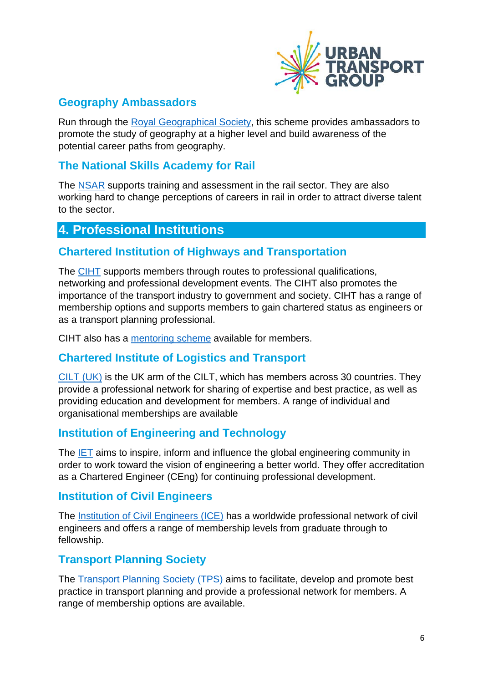

# **Geography Ambassadors**

Run through the [Royal Geographical Society,](https://www.rgs.org/schools/geography-ambassadors/) this scheme provides ambassadors to promote the study of geography at a higher level and build awareness of the potential career paths from geography.

# **The National Skills Academy for Rail**

The [NSAR](https://www.nsar.co.uk/aboutus/) supports training and assessment in the rail sector. They are also working hard to change perceptions of careers in rail in order to attract diverse talent to the sector.

# **4. Professional Institutions**

#### **Chartered Institution of Highways and Transportation**

The [CIHT](https://www.ciht.org.uk/become-a-member/ciht-membership-for-individuals/) supports members through routes to professional qualifications, networking and professional development events. The CIHT also promotes the importance of the transport industry to government and society. CIHT has a range of membership options and supports members to gain chartered status as engineers or as a transport planning professional.

CIHT also has a [mentoring scheme](https://www.ciht.org.uk/professional-development/get-involved/assessors-mentors-and-reviewers/) available for members.

### **Chartered Institute of Logistics and Transport**

[CILT](https://www.ciltuk.org.uk/Membership.aspx) (UK) is the UK arm of the CILT, which has members across 30 countries. They provide a professional network for sharing of expertise and best practice, as well as providing education and development for members. A range of individual and organisational memberships are available

### **Institution of Engineering and Technology**

The [IET](http://www.theiet.org/membership/profreg/ceng/) aims to inspire, inform and influence the global engineering community in order to work toward the vision of engineering a better world. They offer accreditation as a Chartered Engineer (CEng) for continuing professional development.

# **Institution of Civil Engineers**

The [Institution of Civil Engineers](https://www.ice.org.uk/membership/grades-of-ice-membership) (ICE) has a worldwide professional network of civil engineers and offers a range of membership levels from graduate through to fellowship.

### **Transport Planning Society**

The [Transport Planning Society \(TPS\)](https://tps.org.uk/membership) aims to facilitate, develop and promote best practice in transport planning and provide a professional network for members. A range of membership options are available.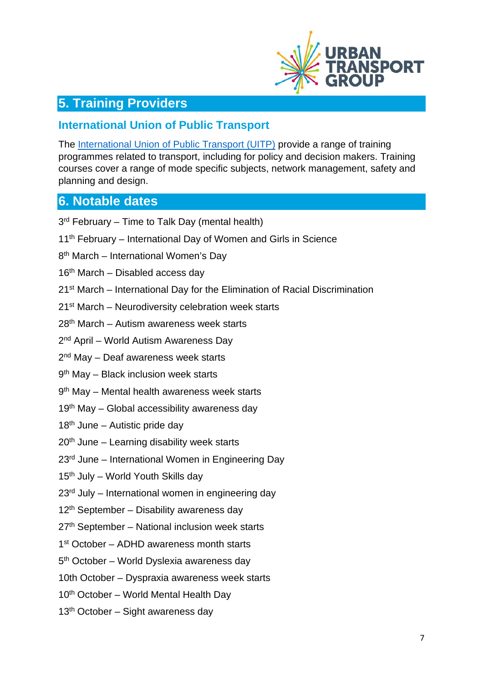

# **5. Training Providers**

#### **International Union of Public Transport**

The [International Union of Public Transport \(UITP\)](http://www.uitp.org/training) provide a range of training programmes related to transport, including for policy and decision makers. Training courses cover a range of mode specific subjects, network management, safety and planning and design.

# **6. Notable dates**

3<sup>rd</sup> February – Time to Talk Day (mental health)

- 11<sup>th</sup> February International Day of Women and Girls in Science
- 8th March International Women's Day
- 16<sup>th</sup> March Disabled access day
- 21st March International Day for the Elimination of Racial Discrimination
- 21<sup>st</sup> March Neurodiversity celebration week starts
- 28th March Autism awareness week starts
- 2nd April World Autism Awareness Day
- 2<sup>nd</sup> May Deaf awareness week starts
- 9<sup>th</sup> May Black inclusion week starts
- 9th May Mental health awareness week starts
- 19<sup>th</sup> May Global accessibility awareness day
- $18<sup>th</sup>$  June Autistic pride day
- $20<sup>th</sup>$  June Learning disability week starts
- 23<sup>rd</sup> June International Women in Engineering Day
- $15<sup>th</sup>$  July World Youth Skills day
- 23rd July International women in engineering day
- $12<sup>th</sup>$  September Disability awareness day
- 27<sup>th</sup> September National inclusion week starts
- 1<sup>st</sup> October ADHD awareness month starts
- 5th October World Dyslexia awareness day
- 10th October Dyspraxia awareness week starts
- $10<sup>th</sup>$  October World Mental Health Day
- 13<sup>th</sup> October Sight awareness day